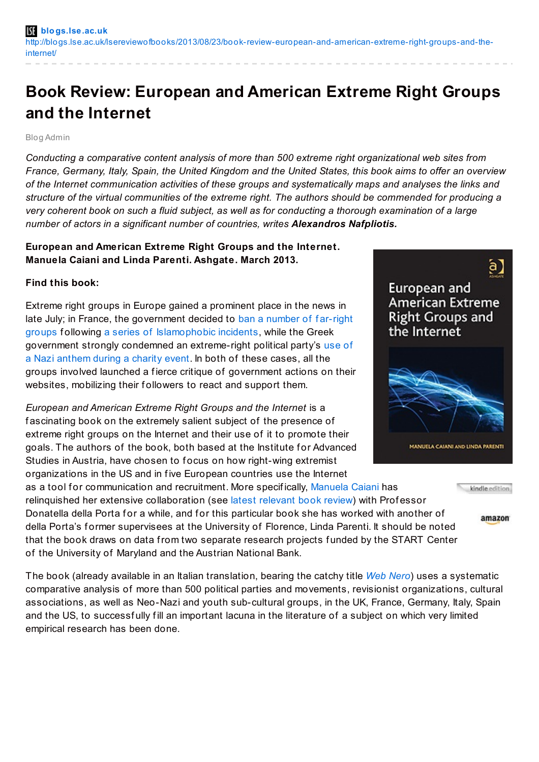# **Book Review: European and American Extreme Right Groups and the Internet**

#### Blog Admin

*Conducting a comparative content analysis of more than 500 extreme right organizational web sites from* France, Germany, Italy, Spain, the United Kingdom and the United States, this book aims to offer an overview *of the Internet communication activities of these groups and systematically maps and analyses the links and* structure of the virtual communities of the extreme right. The authors should be commended for producing a very coherent book on such a fluid subject, as well as for conducting a thorough examination of a large *number of actors in a significant number of countries, writes Alexandros Nafpliotis.*

## **European and American Extreme Right Groups and the Internet. Manuela Caiani and Linda Parenti. Ashgate. March 2013.**

### **Find this book:**

Extreme right groups in Europe gained a prominent place in the news in late July; in France, the government decided to ban a number of f ar-right groups following a series of [Islamophobic](http://www.france24.com/en/20130725-france-far-right-groups-banned-islamism-extremism) incidents, while the Greek government strongly condemned an [extreme-right](http://www.huffingtonpost.com/2013/07/24/golden-dawn-nazi-anthem_n_3647370.html) political party's use of a Nazi anthem during a charity event. In both of these cases, all the groups involved launched a f ierce critique of government actions on their websites, mobilizing their followers to react and support them.

*European and American Extreme Right Groups and the Internet* is a fascinating book on the extremely salient subject of the presence of extreme right groups on the Internet and their use of it to promote their goals. The authors of the book, both based at the Institute for Advanced Studies in Austria, have chosen to focus on how right-wing extremist organizations in the US and in five European countries use the Internet

as a tool for communication and recruitment. More specifically, [Manuela](http://www.ihs.ac.at/vienna/Personal_Page/Manuela-Caiani-1.htm) Caiani has relinguished her extensive collaboration (see latest [relevant](http://blogs.lse.ac.uk/lsereviewofbooks/2013/04/19/book-review-mobilizing-on-the-extreme-right-germany-italy-and-the-united-states/) book review) with Professor

Donatella della Porta for a while, and for this particular book she has worked with another of della Porta's former supervisees at the University of Florence, Linda Parenti. It should be noted that the book draws on data from two separate research projects f unded by the START Center of the University of Maryland and the Austrian National Bank.

The book (already available in an Italian translation, bearing the catchy title *Web [Nero](http://www.rivistailmulino.it/news/newsitem/index/Item/News:NEWS_ITEM:2194)*) uses a systematic comparative analysis of more than 500 political parties and movements, revisionist organizations, cultural associations, as well as Neo-Nazi and youth sub-cultural groups, in the UK, France, Germany, Italy, Spain and the US, to successfully fill an important lacuna in the literature of a subject on which very limited empirical research has been done.

# a ] European and **American Extreme Right Groups and** the Internet





amazon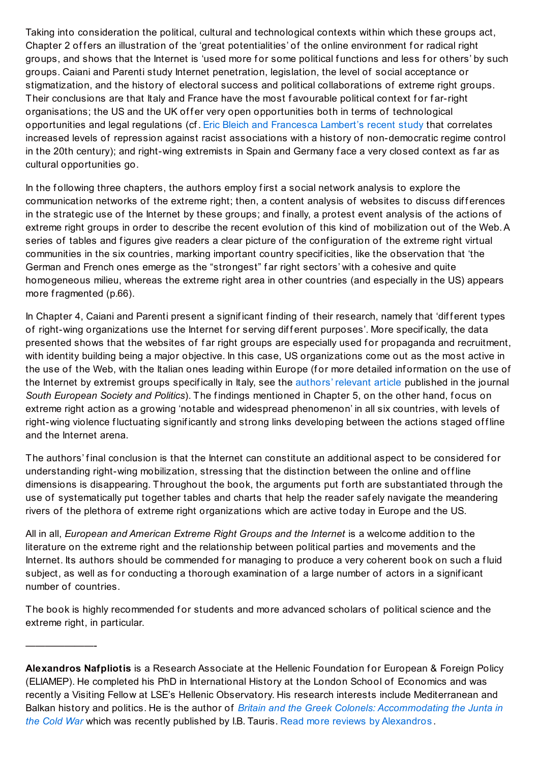Taking into consideration the political, cultural and technological contexts within which these groups act, Chapter 2 of fers an illustration of the 'great potentialities' of the online environment for radical right groups, and shows that the Internet is 'used more for some political functions and less for others' by such groups. Caiani and Parenti study Internet penetration, legislation, the level of social acceptance or stigmatization, and the history of electoral success and political collaborations of extreme right groups. Their conclusions are that Italy and France have the most f avourable political context for far-right organisations; the US and the UK offer very open opportunities both in terms of technological opportunities and legal regulations (cf . Eric Bleich and [Francesca](http://blogs.lse.ac.uk/europpblog/2013/07/23/states-with-a-history-of-undemocratic-regimes-in-the-20th-century-are-more-likely-to-repress-racist-movements/) Lambert's recent study that correlates increased levels of repression against racist associations with a history of non-democratic regime control in the 20th century); and right-wing extremists in Spain and Germany face a very closed context as far as cultural opportunities go.

In the following three chapters, the authors employ first a social network analysis to explore the communication networks of the extreme right; then, a content analysis of websites to discuss differences in the strategic use of the Internet by these groups; and f inally, a protest event analysis of the actions of extreme right groups in order to describe the recent evolution of this kind of mobilization out of the Web.A series of tables and figures give readers a clear picture of the configuration of the extreme right virtual communities in the six countries, marking important country specif icities, like the observation that 'the German and French ones emerge as the "strongest" f ar right sectors' with a cohesive and quite homogeneous milieu, whereas the extreme right area in other countries (and especially in the US) appears more fragmented (p.66).

In Chapter 4, Caiani and Parenti present a significant finding of their research, namely that 'different types of right-wing organizations use the Internet for serving different purposes'. More specifically, the data presented shows that the websites of far right groups are especially used for propaganda and recruitment, with identity building being a major objective. In this case, US organizations come out as the most active in the use of the Web, with the Italian ones leading within Europe (f or more detailed inf ormation on the use of the Internet by extremist groups specifically in Italy, see the [authors'](http://www.tandfonline.com/doi/full/10.1080/13608740903342491#.UfZnPtJM-xo) relevant article published in the journal *South European Society and Politics*). The findings mentioned in Chapter 5, on the other hand, focus on extreme right action as a growing 'notable and widespread phenomenon' in all six countries, with levels of right-wing violence fluctuating significantly and strong links developing between the actions staged offline and the Internet arena.

The authors' final conclusion is that the Internet can constitute an additional aspect to be considered for understanding right-wing mobilization, stressing that the distinction between the online and offline dimensions is disappearing. Throughout the book, the arguments put forth are substantiated through the use of systematically put together tables and charts that help the reader saf ely navigate the meandering rivers of the plethora of extreme right organizations which are active today in Europe and the US.

All in all, *European and American Extreme Right Groups and the Internet* is a welcome addition to the literature on the extreme right and the relationship between political parties and movements and the Internet. Its authors should be commended for managing to produce a very coherent book on such a fluid subject, as well as for conducting a thorough examination of a large number of actors in a significant number of countries.

The book is highly recommended for students and more advanced scholars of political science and the extreme right, in particular.

———————-

Alexandros Nafpliotis is a Research Associate at the Hellenic Foundation for European & Foreign Policy (ELIAMEP). He completed his PhD in International History at the London School of Economics and was recently a Visiting Fellow at LSE's Hellenic Observatory. His research interests include Mediterranean and Balkan history and politics. He is the author of *Britain and the Greek Colonels: [Accommodating](http://www.ibtauris.com/Books/Humanities/History/History earliest times to present day/20th century history c 1900  to c 2000/Postwar 20th century history from c 1945 to c 2000/Britain and the Greek Colonels Accommodating the Junta in the Cold War.aspx) the Junta in the Cold War* which was recently published by I.B. Tauris. Read more reviews by [Alexandros](http://blogs.lse.ac.uk/lsereviewofbooks/category/book-reviewers/alexandros-nafpliotis/) .